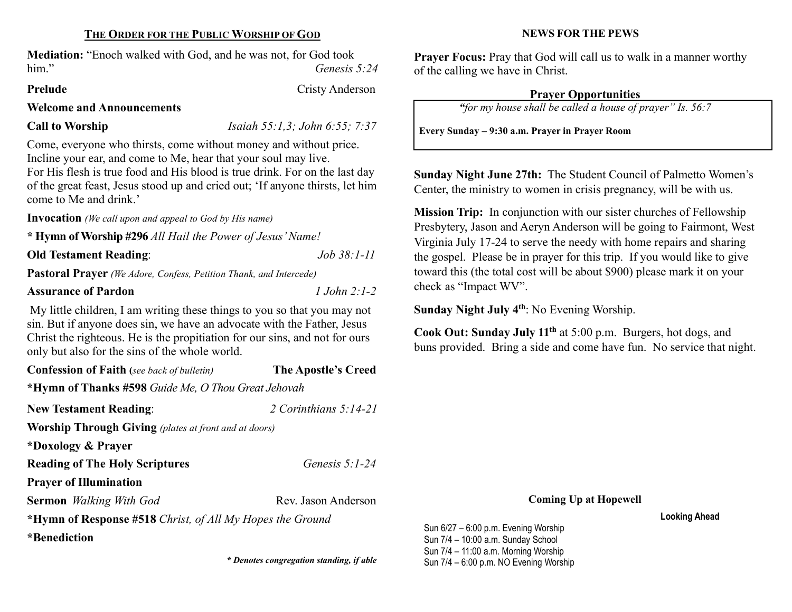# THE ORDER FOR THE PUBLIC WORSHIP OF GOD

Mediation: "Enoch walked with God, and he was not, for God took him." Genesis 5:24

#### Prelude Cristy Anderson

#### Welcome and Announcements

Call to Worship  $Isaiah 55:1,3; John 6:55; 7:37$ 

Come, everyone who thirsts, come without money and without price. Incline your ear, and come to Me, hear that your soul may live.

For His flesh is true food and His blood is true drink. For on the last day of the great feast, Jesus stood up and cried out; 'If anyone thirsts, let him come to Me and drink.'

Invocation (We call upon and appeal to God by His name)

\* Hymn of Worship #296 All Hail the Power of Jesus' Name!

Old Testament Reading: Job 38:1-11

Pastoral Prayer (We Adore, Confess, Petition Thank, and Intercede)

## Assurance of Pardon 2:1-2

My little children, I am writing these things to you so that you may not sin. But if anyone does sin, we have an advocate with the Father, Jesus Christ the righteous. He is the propitiation for our sins, and not for ours only but also for the sins of the whole world.

| <b>Confession of Faith</b> (see back of bulletin)            | The Apostle's Creed     |  |  |  |  |
|--------------------------------------------------------------|-------------------------|--|--|--|--|
| *Hymn of Thanks #598 Guide Me, O Thou Great Jehovah          |                         |  |  |  |  |
| <b>New Testament Reading:</b>                                | 2 Corinthians $5:14-21$ |  |  |  |  |
| <b>Worship Through Giving</b> (plates at front and at doors) |                         |  |  |  |  |
| *Doxology & Prayer                                           |                         |  |  |  |  |
| <b>Reading of The Holy Scriptures</b>                        | Genesis $5:1-24$        |  |  |  |  |
| <b>Prayer of Illumination</b>                                |                         |  |  |  |  |
| <b>Sermon</b> Walking With God                               | Rev. Jason Anderson     |  |  |  |  |
| *Hymn of Response #518 Christ, of All My Hopes the Ground    |                         |  |  |  |  |
| *Benediction                                                 |                         |  |  |  |  |

# NEWS FOR THE PEWS

Prayer Focus: Pray that God will call us to walk in a manner worthy of the calling we have in Christ.

## Prayer Opportunities

"for my house shall be called a house of prayer" Is. 56:7

Every Sunday – 9:30 a.m. Prayer in Prayer Room

Sunday Night June 27th: The Student Council of Palmetto Women's Center, the ministry to women in crisis pregnancy, will be with us.

Mission Trip: In conjunction with our sister churches of Fellowship Presbytery, Jason and Aeryn Anderson will be going to Fairmont, West Virginia July 17-24 to serve the needy with home repairs and sharing the gospel. Please be in prayer for this trip. If you would like to give toward this (the total cost will be about \$900) please mark it on your check as "Impact WV".

Sunday Night July 4<sup>th</sup>: No Evening Worship.

Cook Out: Sunday July 11th at 5:00 p.m. Burgers, hot dogs, and buns provided. Bring a side and come have fun. No service that night.

#### Coming Up at Hopewell

Looking Ahead

Sun 6/27 – 6:00 p.m. Evening Worship Sun 7/4 – 10:00 a.m. Sunday School Sun 7/4 – 11:00 a.m. Morning Worship \* Denotes congregation standing, if able Sun 7/4 – 6:00 p.m. NO Evening Worship